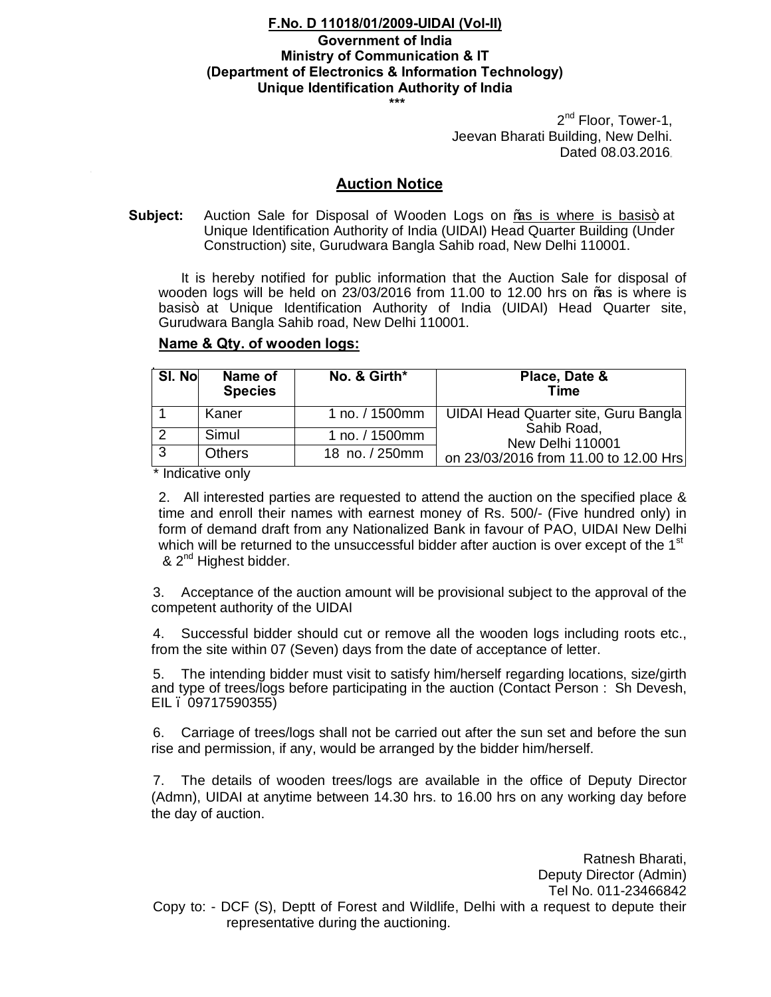## **F.No. D 11018/01/2009-UIDAI (Vol-II) Government of India Ministry of Communication & IT (Department of Electronics & Information Technology) Unique Identification Authority of India \*\*\***

2<sup>nd</sup> Floor, Tower-1, Jeevan Bharati Building, New Delhi. Dated 08.03.2016.

## **Auction Notice**

**Subject:** Auction Sale for Disposal of Wooden Logs on ‰ is where is basis+ at Unique Identification Authority of India (UIDAI) Head Quarter Building (Under Construction) site, Gurudwara Bangla Sahib road, New Delhi 110001.

It is hereby notified for public information that the Auction Sale for disposal of wooden logs will be held on 23/03/2016 from 11.00 to 12.00 hrs on "as is where is basis+ at Unique Identification Authority of India (UIDAI) Head Quarter site, Gurudwara Bangla Sahib road, New Delhi 110001.

| SI. No | Name of<br><b>Species</b> | No. & Girth*   | Place, Date &<br>Time                                                    |
|--------|---------------------------|----------------|--------------------------------------------------------------------------|
|        | Kaner                     | 1 no. / 1500mm | UIDAI Head Quarter site, Guru Bangla                                     |
|        | Simul                     | 1 no. / 1500mm | Sahib Road,<br>New Delhi 110001<br>on 23/03/2016 from 11.00 to 12.00 Hrs |
| 3      | <b>Others</b>             | 18 no. / 250mm |                                                                          |

## **Name & Qty. of wooden logs:**

\* Indicative only

2. All interested parties are requested to attend the auction on the specified place & time and enroll their names with earnest money of Rs. 500/- (Five hundred only) in form of demand draft from any Nationalized Bank in favour of PAO, UIDAI New Delhi which will be returned to the unsuccessful bidder after auction is over except of the  $1<sup>st</sup>$ & 2<sup>nd</sup> Highest bidder.

3. Acceptance of the auction amount will be provisional subject to the approval of the competent authority of the UIDAI

4. Successful bidder should cut or remove all the wooden logs including roots etc., from the site within 07 (Seven) days from the date of acceptance of letter.

5. The intending bidder must visit to satisfy him/herself regarding locations, size/girth and type of trees/logs before participating in the auction (Contact Person : Sh Devesh, EIL – 09717590355)

6. Carriage of trees/logs shall not be carried out after the sun set and before the sun rise and permission, if any, would be arranged by the bidder him/herself.

7. The details of wooden trees/logs are available in the office of Deputy Director (Admn), UIDAI at anytime between 14.30 hrs. to 16.00 hrs on any working day before the day of auction.